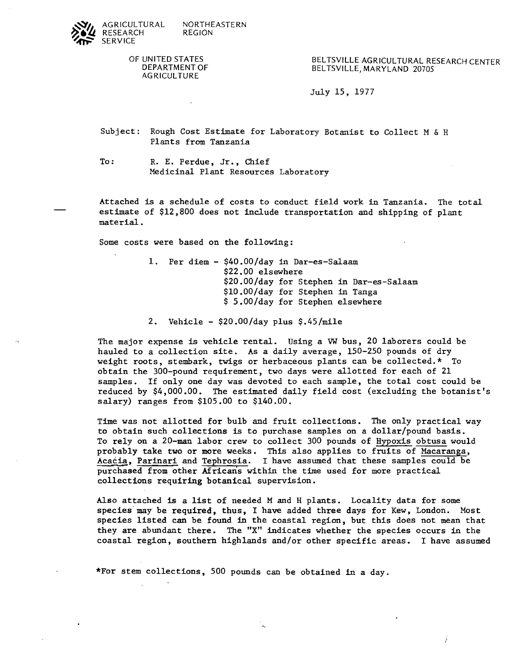

OF UNITED STATES DEPARTMENT OF **AGRICULTURE** 

BELTSVILLE AGRICULTURAL RESEARCH CENTER BELTSVILLE, MARYLAND 20705

July 15, 1977

Subject: Rough Cost Estimate for Laboratory Botanist to Collect M & <sup>H</sup> Plants from Tanzania

To: R. E. Perdue, Jr., Chief Medicinal Plant Resources Laboratory

Attached is a schedule of costs to conduct field work in Tanzania. The total estimate of \$12,800 does not include transportation and shipping of plant material.

Some costs were based on the following:

1. Per diem - \$40.00/day in Dar-es-Salaam \$22.00 elsewhere \$20.00/day for Stephen in Dar-es-Salaam \$lO.OO/day for Stephen in Tanga \$ 5.00/day for Stephen elsewhere

2. Vehicle -  $$20.00/day$  plus  $$.45/mile$ 

The major expense is vehicle rental. Using a **VW** bus, 20 laborers could be hauled to a collection site. As a daily average, 150-250 pounds of dry weight roots, stembark, twigs or herbaceous plants can be collected.\* To obtain the 300-pound requirement, two days were allotted for each of 21 samples. If only one day was devoted to each sample, the total cost could be reduced by \$4,000.00. The estimated daily field cost (excluding the botanist's salary) ranges from \$105.00 to \$140.00.

Time was not allotted for bulb and fruit collections. The only practical way to obtain such collections is to purchase samples on a dollar/pound basis. To rely on a 20-man labor crew to collect 300 pounds of Hypoxis obtusa would probably take two or more weeks. This also applies to fruits of Macaranga, Acacia, Parinari and Tephrosia. I have assumed that these samples could be purchased from other Africans within the time used for more practical collections requiring botanical supervision.

Also attached is a list of needed M and H plants. Locality data for some species may be required, thus, I have added three days for Kew, London. Most species listed can be found in the coastal region, but this does not mean that they are abundant there. The **"X"** indicates whether the species occurs in the coastal region, southern highlands and/or other specific areas. I have assumed

\*For stem collections, 500 pounds can be obtained in a day.

 $\ddot{\phantom{1}}$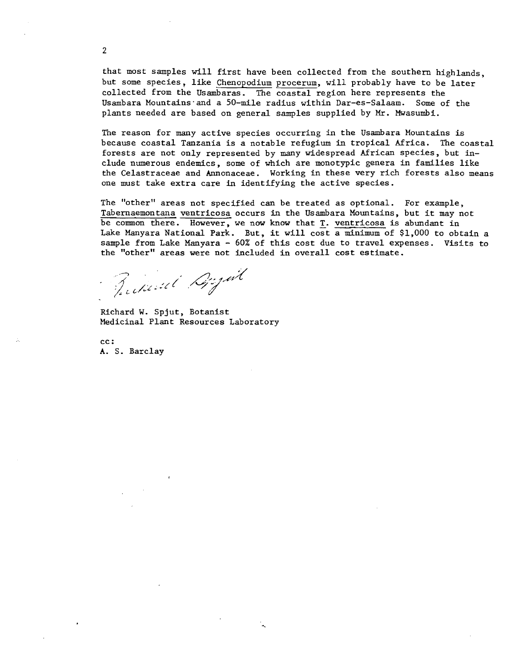that most samples will first have been collected from the southern highlands, but some species, like Chenopodium procerum, will probably have to be later collected from the Usambaras. The coastal region here represents the Usambara Mountains-and a 50-mile radius within Dar-es-Salaam. Some of the plants needed are based on general samples supplied by *Mr.* Mwasumbi.

The reason for many active species occurring in the Usambara Mountains is because coastal Tanzania is a notable refugium in tropical Africa. The coastal forests are not only represented by many widespread African species, but include numerous endemics, some of which are monotypic genera in families like the Celastraceae and Annonaceae. Working in these very rich forests also means one must take extra care in identifying the active species.

The "other" areas not specified can be treated as optional. For example, Tabernaemontana ventricosa occurs in the Usambara Mountains, but it may not be common there. However, we now know that T. ventricosa is abundant in Lake Manyara National Park. But, it will cost a minimum of \$1,000 to obtain a sample from Lake Manyara - 60% of this cost due to travel expenses. Visits to the "other" areas were not included in overall cost estimate.

Russiant Dight

Richard W. Spjut, Botanist Medicinal Plant Resources Laboratory

CC : **A.** S. Barclay

 $\overline{2}$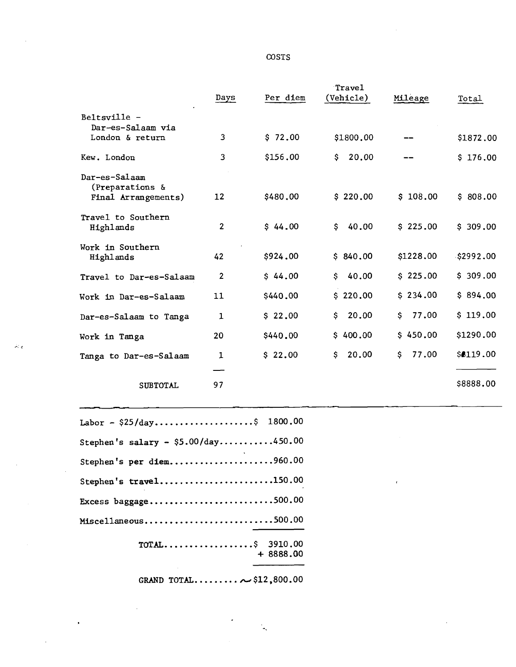## **COSTS**

|                                   |                |          | Travel      |              |           |
|-----------------------------------|----------------|----------|-------------|--------------|-----------|
|                                   | Days           | Per diem | (Vehicle)   | Mileage      | Total     |
| Beltsville -<br>Dar-es-Salaam via |                |          |             |              |           |
| London & return                   | 3              | \$72.00  | \$1800.00   |              | \$1872,00 |
| Kew. London                       | 3              | \$156.00 | 20.00<br>S. |              | \$176.00  |
| Dar-es-Salaam<br>(Preparations &  |                |          |             |              |           |
| Final Arrangements)               | 12             | \$480.00 | \$220.00    | \$108.00     | \$808.00  |
| Travel to Southern<br>Highlands   | $\mathbf{2}$   | \$44.00  | 40.00<br>\$ | \$225.00     | \$309.00  |
| Work in Southern<br>Highlands     | 42             | \$924.00 | \$840.00    | \$1228.00    | \$2992.00 |
| Travel to Dar-es-Salaam           | $\overline{2}$ | \$44.00  | 40.00<br>\$ | \$225.00     | \$309.00  |
| Work in Dar-es-Salaam             | 11             | \$440.00 | \$220.00    | \$234.00     | \$894.00  |
| Dar-es-Salaam to Tanga            | 1              | \$22.00  | 20.00<br>\$ | 77.00<br>\$  | \$119.00  |
| Work in Tanga                     | 20             | \$440.00 | \$400.00    | \$450.00     | \$1290.00 |
| Tanga to Dar-es-Salaam            | $\mathbf{1}$   | \$22.00  | \$<br>20.00 | \$.<br>77.00 | \$8119.00 |
|                                   |                |          |             |              |           |
| <b>SUBTOTAL</b>                   | 97             |          |             |              | \$8888.00 |
|                                   |                |          |             |              |           |
|                                   |                |          |             |              |           |

 $\overline{1}$ 

| Labor - $$25/day$ \$ 1800.00          |  |
|---------------------------------------|--|
| Stephen's salary - $$5.00/day$ 450.00 |  |
| Stephen's per diem960.00              |  |
| Stephen's travel150.00                |  |
| Excess baggage500.00                  |  |
| Miscellaneous500.00                   |  |
| $TOTAL$ \$ 3910.00<br>$+8888.00$      |  |

 $\hat{\boldsymbol{\beta}}$ 

 $\bar{z}$ 

**GRAND** TOT AL.........-\$ 12,800.00

ù,

 $\mathcal{M}_{\mathcal{A}}$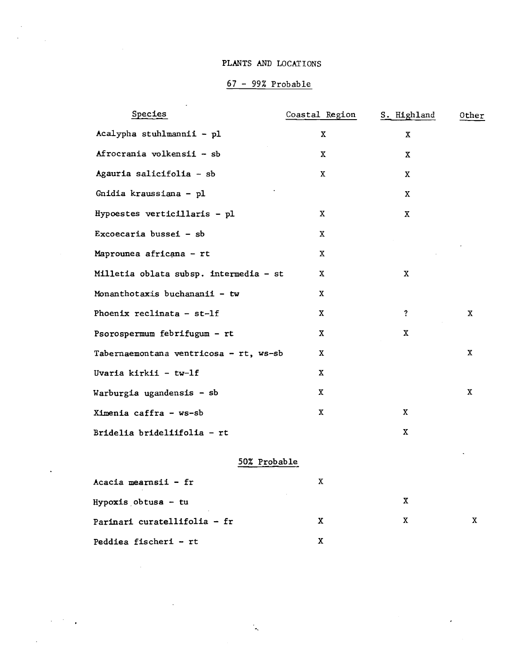## PLANTS AND LOCATIONS

 $\bar{\mathcal{A}}$ 

 $\ddot{\phantom{a}}$ 

 $\mathcal{L}^{(1)}$  ,  $\mathcal{L}^{(2)}$ 

# <sup>67</sup>- 99% Probable

| Species                                | Coastal Region | S. Highland  | Other       |
|----------------------------------------|----------------|--------------|-------------|
| Acalypha stuhlmannii - pl              | X              | $\mathbf{X}$ |             |
| Afrocrania volkensii - sb              | X              | X            |             |
| Agauria salicifolia - sb               | X.             | X            |             |
| Gnidia kraussiana - pl                 |                | X            |             |
| Hypoestes verticillaris - pl           | X              | $\mathbf{X}$ |             |
| Excoecaria bussei - sb                 | $\mathbf X$    |              |             |
| Maprounea africana - rt                | X              |              |             |
| Milletia oblata subsp. intermedia - st | X              | X            |             |
| Monanthotaxis buchananii - tw          | X              |              |             |
| Phoenix reclinata - st-lf              | X              | $\mathbf{?}$ | X           |
| Psorospermum febrifugum - rt           | х              | X.           |             |
| Tabernaemontana ventricosa - rt, ws-sb | X              |              | X           |
| Uvaria kirkii - tw-lf                  | X.             |              |             |
| Warburgia ugandensis - sb              | X              |              | $\mathbf x$ |
| Ximenia caffra - ws-sb                 | X.             | X            |             |
| Bridelia brideliifolia - rt            |                | X            |             |
| 50% Probable                           |                |              |             |
| Acacia mearnsii - fr                   | X              |              |             |

 $\mathbf X$ 

 $\mathbf X$ 

 $\mathbf x$ 

 $\bar{\star}$ 

| $Hypoxis_0btusa - tu$        |  |
|------------------------------|--|
| Parinari curatellifolia - fr |  |
| Peddiea fischeri - rt        |  |

 $\mathbb{Q}$ 

 $\sim$  .